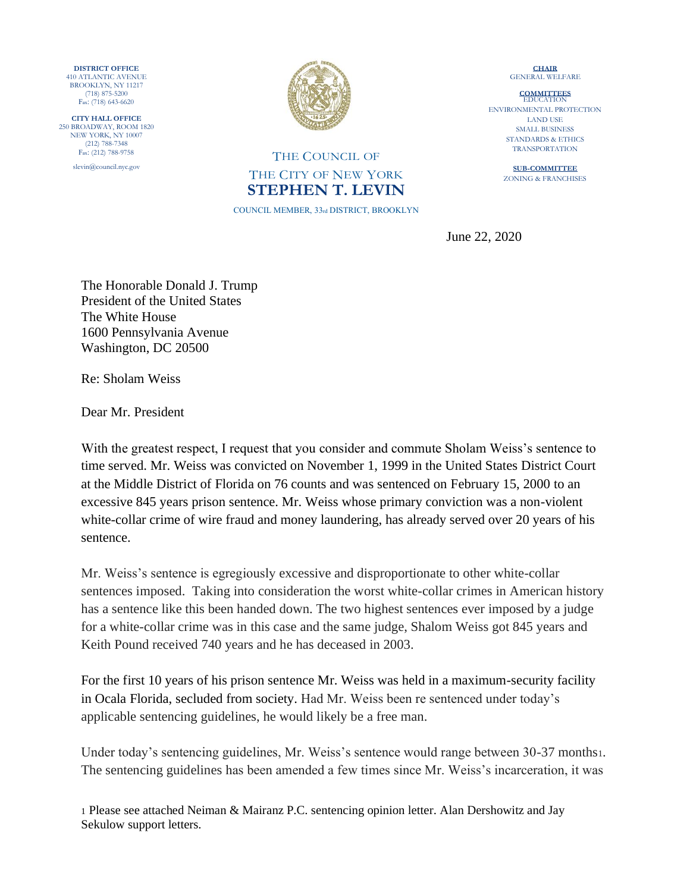**DISTRICT OFFICE**  410 ATLANTIC AVENUE BROOKLYN, NY 11217 (718) 875-5200 Fax: (718) 643-6620

**CITY HALL OFFICE**  250 BROADWAY, ROOM 1820 NEW YORK, NY 10007 (212) 788-7348 Fax: (212) 788-9758

slevin@council.nyc.gov



## THE COUNCIL OF THE CITY OF NEW YORK **STEPHEN T. LEVIN**

COUNCIL MEMBER, 33rd DISTRICT, BROOKLYN

**CHAIR** GENERAL WELFARE

**COMMITTEES** EDUCATION ENVIRONMENTAL PROTECTION LAND USE SMALL BUSINESS STANDARDS & ETHICS TRANSPORTATION

> **SUB-COMMITTEE**  ZONING & FRANCHISES

June 22, 2020

The Honorable Donald J. Trump President of the United States The White House 1600 Pennsylvania Avenue Washington, DC 20500

Re: Sholam Weiss

Dear Mr. President

With the greatest respect, I request that you consider and commute Sholam Weiss's sentence to time served. Mr. Weiss was convicted on November 1, 1999 in the United States District Court at the Middle District of Florida on 76 counts and was sentenced on February 15, 2000 to an excessive 845 years prison sentence. Mr. Weiss whose primary conviction was a non-violent white-collar crime of wire fraud and money laundering, has already served over 20 years of his sentence.

Mr. Weiss's sentence is egregiously excessive and disproportionate to other white-collar sentences imposed. Taking into consideration the worst white-collar crimes in American history has a sentence like this been handed down. The two highest sentences ever imposed by a judge for a white-collar crime was in this case and the same judge, Shalom Weiss got 845 years and Keith Pound received 740 years and he has deceased in 2003.

For the first 10 years of his prison sentence Mr. Weiss was held in a maximum-security facility in Ocala Florida, secluded from society. Had Mr. Weiss been re sentenced under today's applicable sentencing guidelines, he would likely be a free man.

Under today's sentencing guidelines, Mr. Weiss's sentence would range between 30-37 months1. The sentencing guidelines has been amended a few times since Mr. Weiss's incarceration, it was

1 Please see attached Neiman & Mairanz P.C. sentencing opinion letter. Alan Dershowitz and Jay Sekulow support letters.